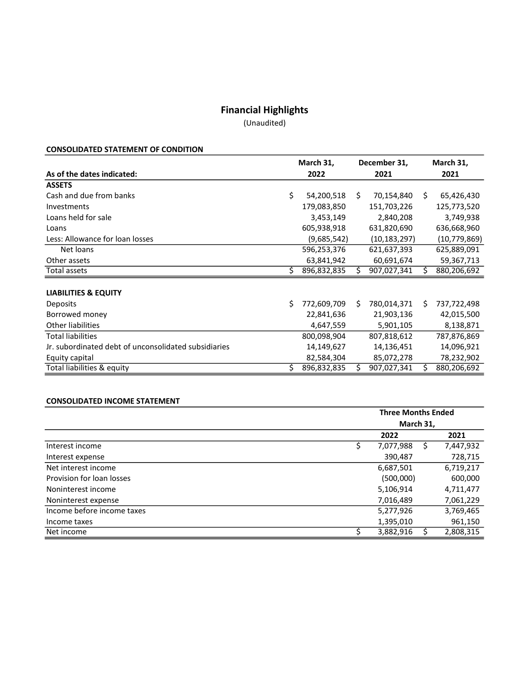# Financial Highlights

(Unaudited)

## CONSOLIDATED STATEMENT OF CONDITION

|                                                      | March 31, |             | December 31, |              | March 31, |                |
|------------------------------------------------------|-----------|-------------|--------------|--------------|-----------|----------------|
| As of the dates indicated:                           | 2022      |             | 2021         |              |           | 2021           |
| <b>ASSETS</b>                                        |           |             |              |              |           |                |
| Cash and due from banks                              | \$        | 54,200,518  | Ś.           | 70,154,840   | S.        | 65,426,430     |
| Investments                                          |           | 179,083,850 |              | 151,703,226  |           | 125,773,520    |
| Loans held for sale                                  |           | 3,453,149   |              | 2,840,208    |           | 3,749,938      |
| Loans                                                |           | 605,938,918 |              | 631,820,690  |           | 636,668,960    |
| Less: Allowance for loan losses                      |           | (9,685,542) |              | (10,183,297) |           | (10, 779, 869) |
| Net loans                                            |           | 596,253,376 |              | 621,637,393  |           | 625,889,091    |
| Other assets                                         |           | 63,841,942  |              | 60,691,674   |           | 59,367,713     |
| Total assets                                         | Ś         | 896,832,835 | Ś            | 907,027,341  |           | 880,206,692    |
|                                                      |           |             |              |              |           |                |
| <b>LIABILITIES &amp; EQUITY</b>                      |           |             |              |              |           |                |
| <b>Deposits</b>                                      | Ś.        | 772,609,709 | Ś            | 780,014,371  | Ŝ.        | 737,722,498    |
| Borrowed money                                       |           | 22,841,636  |              | 21,903,136   |           | 42,015,500     |
| <b>Other liabilities</b>                             |           | 4,647,559   |              | 5,901,105    |           | 8,138,871      |
| <b>Total liabilities</b>                             |           | 800,098,904 |              | 807,818,612  |           | 787,876,869    |
| Jr. subordinated debt of unconsolidated subsidiaries |           | 14,149,627  |              | 14,136,451   |           | 14,096,921     |
| Equity capital                                       |           | 82,584,304  |              | 85,072,278   |           | 78,232,902     |
| Total liabilities & equity                           | \$        | 896,832,835 | \$           | 907,027,341  |           | 880,206,692    |

## CONSOLIDATED INCOME STATEMENT

|                            | <b>Three Months Ended</b> |  |           |  |  |
|----------------------------|---------------------------|--|-----------|--|--|
|                            | March 31,                 |  |           |  |  |
|                            | 2022                      |  | 2021      |  |  |
| Interest income            | 7,077,988                 |  | 7,447,932 |  |  |
| Interest expense           | 390,487                   |  | 728,715   |  |  |
| Net interest income        | 6,687,501                 |  | 6,719,217 |  |  |
| Provision for loan losses  | (500,000)                 |  | 600,000   |  |  |
| Noninterest income         | 5,106,914                 |  | 4,711,477 |  |  |
| Noninterest expense        | 7,016,489                 |  | 7,061,229 |  |  |
| Income before income taxes | 5,277,926                 |  | 3,769,465 |  |  |
| Income taxes               | 1,395,010                 |  | 961,150   |  |  |
| Net income                 | 3,882,916                 |  | 2,808,315 |  |  |